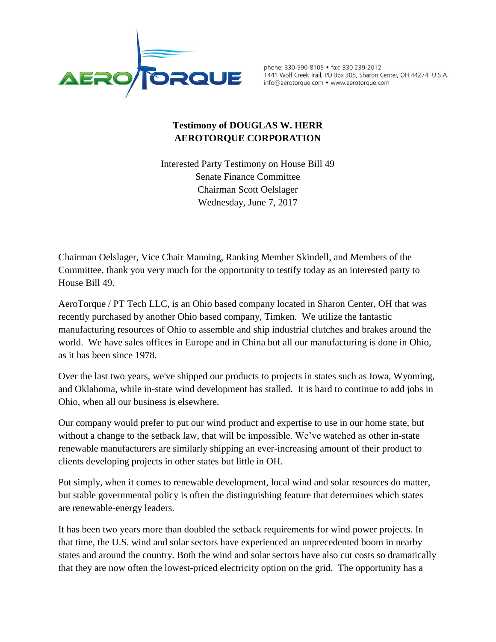

phone: 330-590-8105 · fax: 330 239-2012 1441 Wolf Creek Trail, PO Box 305, Sharon Center, OH 44274 U.S.A. info@aerotorque.com • www.aerotorque.com

## **Testimony of DOUGLAS W. HERR AEROTORQUE CORPORATION**

Interested Party Testimony on House Bill 49 Senate Finance Committee Chairman Scott Oelslager Wednesday, June 7, 2017

Chairman Oelslager, Vice Chair Manning, Ranking Member Skindell, and Members of the Committee, thank you very much for the opportunity to testify today as an interested party to House Bill 49.

AeroTorque / PT Tech LLC, is an Ohio based company located in Sharon Center, OH that was recently purchased by another Ohio based company, Timken. We utilize the fantastic manufacturing resources of Ohio to assemble and ship industrial clutches and brakes around the world. We have sales offices in Europe and in China but all our manufacturing is done in Ohio, as it has been since 1978.

Over the last two years, we've shipped our products to projects in states such as Iowa, Wyoming, and Oklahoma, while in-state wind development has stalled. It is hard to continue to add jobs in Ohio, when all our business is elsewhere.

Our company would prefer to put our wind product and expertise to use in our home state, but without a change to the setback law, that will be impossible. We've watched as other in-state renewable manufacturers are similarly shipping an ever-increasing amount of their product to clients developing projects in other states but little in OH.

Put simply, when it comes to renewable development, local wind and solar resources do matter, but stable governmental policy is often the distinguishing feature that determines which states are renewable-energy leaders.

It has been two years more than doubled the setback requirements for wind power projects. In that time, the U.S. wind and solar sectors have experienced an unprecedented boom in nearby states and around the country. Both the wind and solar sectors have also cut costs so dramatically that they are now often the lowest-priced electricity option on the grid. The opportunity has a